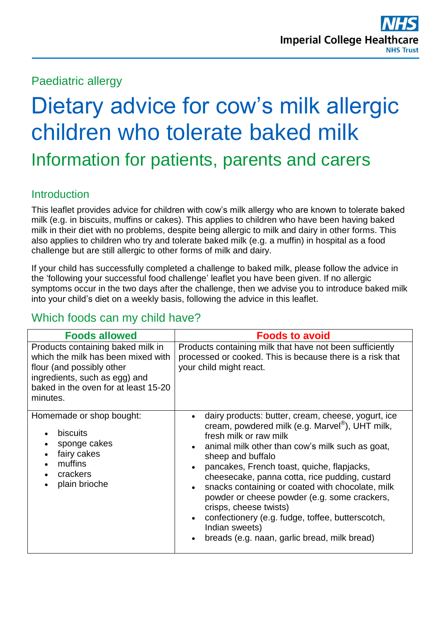Paediatric allergy

# Dietary advice for cow's milk allergic children who tolerate baked milk Information for patients, parents and carers

### Introduction

This leaflet provides advice for children with cow's milk allergy who are known to tolerate baked milk (e.g. in biscuits, muffins or cakes). This applies to children who have been having baked milk in their diet with no problems, despite being allergic to milk and dairy in other forms. This also applies to children who try and tolerate baked milk (e.g. a muffin) in hospital as a food challenge but are still allergic to other forms of milk and dairy.

If your child has successfully completed a challenge to baked milk, please follow the advice in the 'following your successful food challenge' leaflet you have been given. If no allergic symptoms occur in the two days after the challenge, then we advise you to introduce baked milk into your child's diet on a weekly basis, following the advice in this leaflet.

## Which foods can my child have?

| <b>Foods allowed</b>                                                                                                                                                                      | <b>Foods to avoid</b>                                                                                                                                                                                                                                                                                                                                                                                                                                                                                                                                                   |
|-------------------------------------------------------------------------------------------------------------------------------------------------------------------------------------------|-------------------------------------------------------------------------------------------------------------------------------------------------------------------------------------------------------------------------------------------------------------------------------------------------------------------------------------------------------------------------------------------------------------------------------------------------------------------------------------------------------------------------------------------------------------------------|
| Products containing baked milk in<br>which the milk has been mixed with<br>flour (and possibly other<br>ingredients, such as egg) and<br>baked in the oven for at least 15-20<br>minutes. | Products containing milk that have not been sufficiently<br>processed or cooked. This is because there is a risk that<br>your child might react.                                                                                                                                                                                                                                                                                                                                                                                                                        |
| Homemade or shop bought:<br>biscuits<br>$\bullet$<br>sponge cakes<br>$\bullet$<br>fairy cakes<br>$\bullet$<br>muffins<br>$\bullet$<br>crackers<br>plain brioche<br>$\bullet$              | dairy products: butter, cream, cheese, yogurt, ice<br>cream, powdered milk (e.g. Marvel <sup>®</sup> ), UHT milk,<br>fresh milk or raw milk<br>animal milk other than cow's milk such as goat,<br>sheep and buffalo<br>pancakes, French toast, quiche, flapjacks,<br>cheesecake, panna cotta, rice pudding, custard<br>snacks containing or coated with chocolate, milk<br>powder or cheese powder (e.g. some crackers,<br>crisps, cheese twists)<br>confectionery (e.g. fudge, toffee, butterscotch,<br>Indian sweets)<br>breads (e.g. naan, garlic bread, milk bread) |